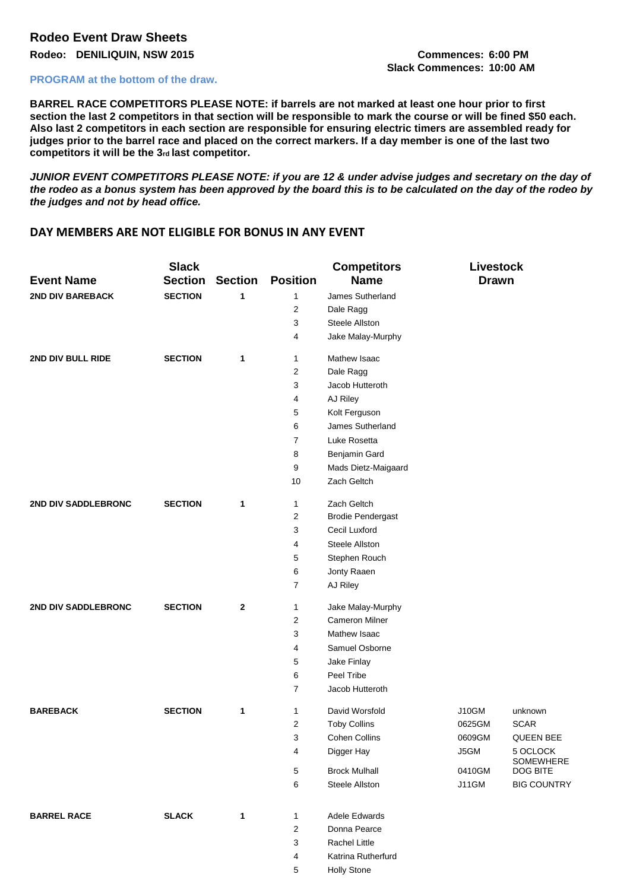## **Rodeo Event Draw Sheets**

**Rodeo: DENILIQUIN, NSW 2015 Commences: 6:00 PM**

## **PROGRAM at the bottom of the draw.**

**Slack Commences: 10:00 AM**

**BARREL RACE COMPETITORS PLEASE NOTE: if barrels are not marked at least one hour prior to first section the last 2 competitors in that section will be responsible to mark the course or will be fined \$50 each. Also last 2 competitors in each section are responsible for ensuring electric timers are assembled ready for judges prior to the barrel race and placed on the correct markers. If a day member is one of the last two competitors it will be the 3rd last competitor.** 

*JUNIOR EVENT COMPETITORS PLEASE NOTE: if you are 12 & under advise judges and secretary on the day of the rodeo as a bonus system has been approved by the board this is to be calculated on the day of the rodeo by the judges and not by head office.* 

## **DAY MEMBERS ARE NOT ELIGIBLE FOR BONUS IN ANY EVENT**

| <b>Event Name</b>       | <b>Slack</b><br><b>Section</b> | <b>Section</b> | <b>Position</b> | <b>Competitors</b><br><b>Name</b> | <b>Livestock</b><br><b>Drawn</b> |                       |
|-------------------------|--------------------------------|----------------|-----------------|-----------------------------------|----------------------------------|-----------------------|
| <b>2ND DIV BAREBACK</b> | <b>SECTION</b>                 | 1              | $\mathbf{1}$    | James Sutherland                  |                                  |                       |
|                         |                                |                | 2               | Dale Ragg                         |                                  |                       |
|                         |                                |                | 3               | <b>Steele Allston</b>             |                                  |                       |
|                         |                                |                | 4               | Jake Malay-Murphy                 |                                  |                       |
| 2ND DIV BULL RIDE       | <b>SECTION</b>                 | 1              | 1               | Mathew Isaac                      |                                  |                       |
|                         |                                |                | 2               | Dale Ragg                         |                                  |                       |
|                         |                                |                | 3               | Jacob Hutteroth                   |                                  |                       |
|                         |                                |                | 4               | AJ Riley                          |                                  |                       |
|                         |                                |                | 5               | Kolt Ferguson                     |                                  |                       |
|                         |                                |                | 6               | James Sutherland                  |                                  |                       |
|                         |                                |                | 7               | Luke Rosetta                      |                                  |                       |
|                         |                                |                | 8               | Benjamin Gard                     |                                  |                       |
|                         |                                |                | 9               | Mads Dietz-Maigaard               |                                  |                       |
|                         |                                |                | 10              | Zach Geltch                       |                                  |                       |
| 2ND DIV SADDLEBRONC     | <b>SECTION</b>                 | 1              | 1               | Zach Geltch                       |                                  |                       |
|                         |                                |                | 2               | <b>Brodie Pendergast</b>          |                                  |                       |
|                         |                                |                | 3               | Cecil Luxford                     |                                  |                       |
|                         |                                |                | 4               | Steele Allston                    |                                  |                       |
|                         |                                |                | 5               | Stephen Rouch                     |                                  |                       |
|                         |                                |                | 6               | Jonty Raaen                       |                                  |                       |
|                         |                                |                | 7               | AJ Riley                          |                                  |                       |
| 2ND DIV SADDLEBRONC     | <b>SECTION</b>                 | $\mathbf{2}$   | 1               | Jake Malay-Murphy                 |                                  |                       |
|                         |                                |                | 2               | <b>Cameron Milner</b>             |                                  |                       |
|                         |                                |                | 3               | Mathew Isaac                      |                                  |                       |
|                         |                                |                | 4               | Samuel Osborne                    |                                  |                       |
|                         |                                |                | 5               | Jake Finlay                       |                                  |                       |
|                         |                                |                | 6               | Peel Tribe                        |                                  |                       |
|                         |                                |                | 7               | Jacob Hutteroth                   |                                  |                       |
| <b>BAREBACK</b>         | <b>SECTION</b>                 | 1              | 1               | David Worsfold                    | <b>J10GM</b>                     | unknown               |
|                         |                                |                | 2               | <b>Toby Collins</b>               | 0625GM                           | <b>SCAR</b>           |
|                         |                                |                | 3               | Cohen Collins                     | 0609GM                           | <b>QUEEN BEE</b>      |
|                         |                                |                | 4               | Digger Hay                        | J5GM                             | 5 OCLOCK<br>SOMEWHERE |
|                         |                                |                | 5               | <b>Brock Mulhall</b>              | 0410GM                           | DOG BITE              |
|                         |                                |                | 6               | Steele Allston                    | <b>J11GM</b>                     | <b>BIG COUNTRY</b>    |
| <b>BARREL RACE</b>      | <b>SLACK</b>                   | 1              | 1               | Adele Edwards                     |                                  |                       |
|                         |                                |                | $\sqrt{2}$      | Donna Pearce                      |                                  |                       |
|                         |                                |                | 3               | Rachel Little                     |                                  |                       |
|                         |                                |                | 4               | Katrina Rutherfurd                |                                  |                       |
|                         |                                |                | 5               | <b>Holly Stone</b>                |                                  |                       |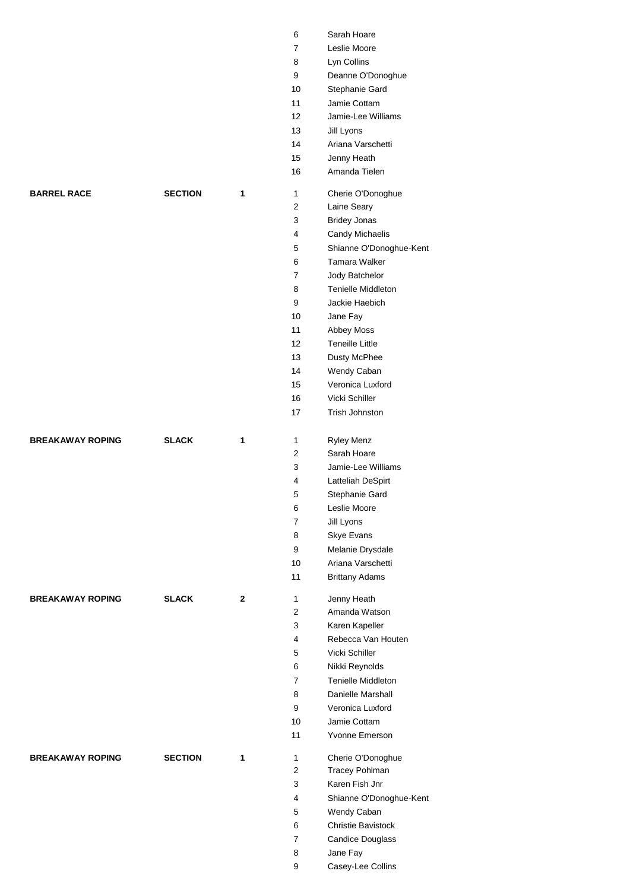|                         |                |              | 6                       | Sarah Hoare               |
|-------------------------|----------------|--------------|-------------------------|---------------------------|
|                         |                |              | 7                       | Leslie Moore              |
|                         |                |              | 8                       | Lyn Collins               |
|                         |                |              | 9                       | Deanne O'Donoghue         |
|                         |                |              | 10                      | Stephanie Gard            |
|                         |                |              | 11                      | Jamie Cottam              |
|                         |                |              | 12                      | Jamie-Lee Williams        |
|                         |                |              | 13                      | Jill Lyons                |
|                         |                |              | 14                      | Ariana Varschetti         |
|                         |                |              | 15                      | Jenny Heath               |
|                         |                |              | 16                      | Amanda Tielen             |
|                         |                |              |                         |                           |
| <b>BARREL RACE</b>      | <b>SECTION</b> | 1            | $\mathbf{1}$            | Cherie O'Donoghue         |
|                         |                |              | $\overline{\mathbf{c}}$ | Laine Seary               |
|                         |                |              | 3                       | <b>Bridey Jonas</b>       |
|                         |                |              | 4                       | Candy Michaelis           |
|                         |                |              | 5                       | Shianne O'Donoghue-Kent   |
|                         |                |              | 6                       | Tamara Walker             |
|                         |                |              | 7                       | Jody Batchelor            |
|                         |                |              | 8                       | <b>Tenielle Middleton</b> |
|                         |                |              | 9                       | Jackie Haebich            |
|                         |                |              | 10                      | Jane Fay                  |
|                         |                |              | 11                      | Abbey Moss                |
|                         |                |              | 12                      | <b>Teneille Little</b>    |
|                         |                |              | 13                      | Dusty McPhee              |
|                         |                |              | 14                      | Wendy Caban               |
|                         |                |              | 15                      | Veronica Luxford          |
|                         |                |              | 16                      | Vicki Schiller            |
|                         |                |              | 17                      | Trish Johnston            |
|                         |                |              |                         |                           |
| <b>BREAKAWAY ROPING</b> | <b>SLACK</b>   | 1            | 1                       | <b>Ryley Menz</b>         |
|                         |                |              | 2                       | Sarah Hoare               |
|                         |                |              | 3                       | Jamie-Lee Williams        |
|                         |                |              | 4                       | Latteliah DeSpirt         |
|                         |                |              | 5                       | Stephanie Gard            |
|                         |                |              | 6                       | Leslie Moore              |
|                         |                |              | $\overline{7}$          | Jill Lyons                |
|                         |                |              | 8                       | Skye Evans                |
|                         |                |              | 9                       | Melanie Drysdale          |
|                         |                |              | 10                      | Ariana Varschetti         |
|                         |                |              | 11                      | <b>Brittany Adams</b>     |
|                         |                |              |                         |                           |
| <b>BREAKAWAY ROPING</b> | <b>SLACK</b>   | $\mathbf{2}$ | 1                       | Jenny Heath               |
|                         |                |              | 2                       | Amanda Watson             |
|                         |                |              | 3                       | Karen Kapeller            |
|                         |                |              | 4                       | Rebecca Van Houten        |
|                         |                |              | 5                       | Vicki Schiller            |
|                         |                |              | 6                       | Nikki Reynolds            |
|                         |                |              | $\overline{7}$          | <b>Tenielle Middleton</b> |
|                         |                |              | 8                       | Danielle Marshall         |
|                         |                |              | 9                       | Veronica Luxford          |
|                         |                |              | 10                      | Jamie Cottam              |
|                         |                |              | 11                      | Yvonne Emerson            |
|                         |                |              |                         |                           |
| <b>BREAKAWAY ROPING</b> | <b>SECTION</b> | $\mathbf{1}$ | 1                       | Cherie O'Donoghue         |
|                         |                |              | 2                       | Tracey Pohlman            |
|                         |                |              | 3                       | Karen Fish Jnr            |
|                         |                |              | 4                       | Shianne O'Donoghue-Kent   |
|                         |                |              | 5                       | Wendy Caban               |
|                         |                |              | 6                       | Christie Bavistock        |
|                         |                |              | 7                       | <b>Candice Douglass</b>   |
|                         |                |              | 8                       | Jane Fay                  |
|                         |                |              | 9                       | Casey-Lee Collins         |
|                         |                |              |                         |                           |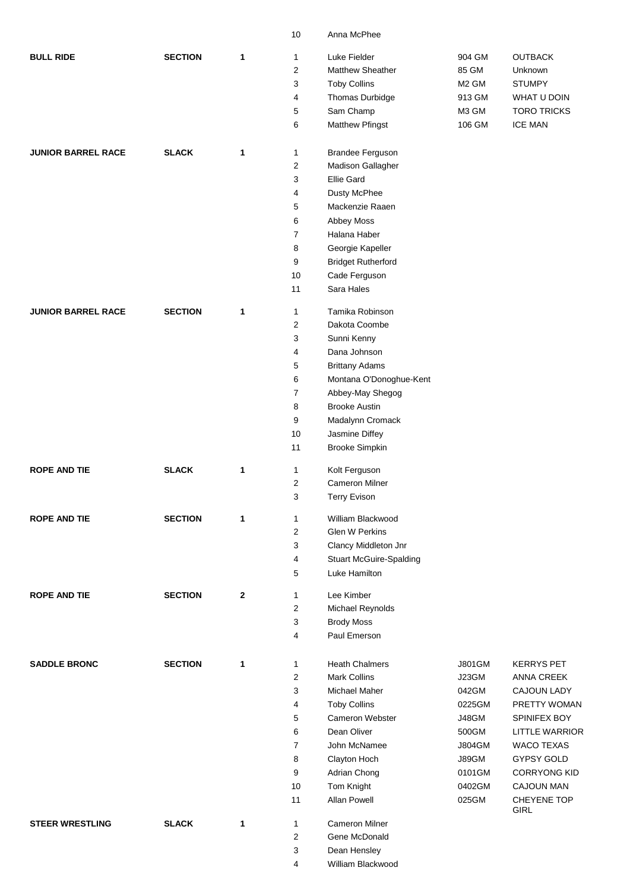|                           |                |              | 10               | Anna McPhee                    |                   |                            |
|---------------------------|----------------|--------------|------------------|--------------------------------|-------------------|----------------------------|
| <b>BULL RIDE</b>          | <b>SECTION</b> | 1            | 1                | Luke Fielder                   | 904 GM            | <b>OUTBACK</b>             |
|                           |                |              | $\overline{c}$   | <b>Matthew Sheather</b>        | 85 GM             | Unknown                    |
|                           |                |              | 3                | <b>Toby Collins</b>            | M <sub>2</sub> GM | <b>STUMPY</b>              |
|                           |                |              | 4                | Thomas Durbidge                | 913 GM            | WHAT U DOIN                |
|                           |                |              | 5                | Sam Champ                      | M3 GM             | <b>TORO TRICKS</b>         |
|                           |                |              | 6                | <b>Matthew Pfingst</b>         | 106 GM            | <b>ICE MAN</b>             |
| <b>JUNIOR BARREL RACE</b> | <b>SLACK</b>   | 1            | 1                | <b>Brandee Ferguson</b>        |                   |                            |
|                           |                |              | $\overline{c}$   | Madison Gallagher              |                   |                            |
|                           |                |              | 3                | <b>Ellie Gard</b>              |                   |                            |
|                           |                |              | 4                | Dusty McPhee                   |                   |                            |
|                           |                |              | 5                | Mackenzie Raaen                |                   |                            |
|                           |                |              | 6                | Abbey Moss                     |                   |                            |
|                           |                |              | $\overline{7}$   | Halana Haber                   |                   |                            |
|                           |                |              | 8                | Georgie Kapeller               |                   |                            |
|                           |                |              | 9                | <b>Bridget Rutherford</b>      |                   |                            |
|                           |                |              | 10               | Cade Ferguson                  |                   |                            |
|                           |                |              | 11               | Sara Hales                     |                   |                            |
| <b>JUNIOR BARREL RACE</b> | <b>SECTION</b> | 1            | 1                | Tamika Robinson                |                   |                            |
|                           |                |              | $\overline{2}$   | Dakota Coombe                  |                   |                            |
|                           |                |              | 3                | Sunni Kenny                    |                   |                            |
|                           |                |              | 4                | Dana Johnson                   |                   |                            |
|                           |                |              | 5                | <b>Brittany Adams</b>          |                   |                            |
|                           |                |              | 6                | Montana O'Donoghue-Kent        |                   |                            |
|                           |                |              | $\overline{7}$   | Abbey-May Shegog               |                   |                            |
|                           |                |              | 8                | <b>Brooke Austin</b>           |                   |                            |
|                           |                |              | 9                | Madalynn Cromack               |                   |                            |
|                           |                |              | 10               | Jasmine Diffey                 |                   |                            |
|                           |                |              | 11               | <b>Brooke Simpkin</b>          |                   |                            |
| <b>ROPE AND TIE</b>       | <b>SLACK</b>   | 1            | 1                | Kolt Ferguson                  |                   |                            |
|                           |                |              | $\boldsymbol{2}$ | <b>Cameron Milner</b>          |                   |                            |
|                           |                |              | 3                | <b>Terry Evison</b>            |                   |                            |
| <b>ROPE AND TIE</b>       | <b>SECTION</b> | 1            | 1                | William Blackwood              |                   |                            |
|                           |                |              | 2                | <b>Glen W Perkins</b>          |                   |                            |
|                           |                |              | 3                | Clancy Middleton Jnr           |                   |                            |
|                           |                |              | 4                | <b>Stuart McGuire-Spalding</b> |                   |                            |
|                           |                |              | 5                | Luke Hamilton                  |                   |                            |
| <b>ROPE AND TIE</b>       | <b>SECTION</b> | $\mathbf{2}$ | $\mathbf{1}$     | Lee Kimber                     |                   |                            |
|                           |                |              | 2                | Michael Reynolds               |                   |                            |
|                           |                |              | 3                | <b>Brody Moss</b>              |                   |                            |
|                           |                |              | 4                | Paul Emerson                   |                   |                            |
| <b>SADDLE BRONC</b>       | <b>SECTION</b> | 1            | 1                | <b>Heath Chalmers</b>          | <b>J801GM</b>     | <b>KERRYS PET</b>          |
|                           |                |              | $\overline{2}$   | <b>Mark Collins</b>            | J23GM             | <b>ANNA CREEK</b>          |
|                           |                |              | 3                | <b>Michael Maher</b>           | 042GM             | <b>CAJOUN LADY</b>         |
|                           |                |              | 4                | <b>Toby Collins</b>            | 0225GM            | PRETTY WOMAN               |
|                           |                |              | 5                | <b>Cameron Webster</b>         | J48GM             | SPINIFEX BOY               |
|                           |                |              | 6                | Dean Oliver                    | 500GM             | <b>LITTLE WARRIOR</b>      |
|                           |                |              | $\overline{7}$   | John McNamee                   | <b>J804GM</b>     | <b>WACO TEXAS</b>          |
|                           |                |              | 8                | Clayton Hoch                   | J89GM             | GYPSY GOLD                 |
|                           |                |              | 9                | Adrian Chong                   | 0101GM            | <b>CORRYONG KID</b>        |
|                           |                |              | 10               | Tom Knight                     | 0402GM            | <b>CAJOUN MAN</b>          |
|                           |                |              | 11               | Allan Powell                   | 025GM             | CHEYENE TOP<br><b>GIRL</b> |
| <b>STEER WRESTLING</b>    | <b>SLACK</b>   | 1            | 1                | <b>Cameron Milner</b>          |                   |                            |
|                           |                |              | 2                | Gene McDonald                  |                   |                            |
|                           |                |              | 3                | Dean Hensley                   |                   |                            |
|                           |                |              | 4                | William Blackwood              |                   |                            |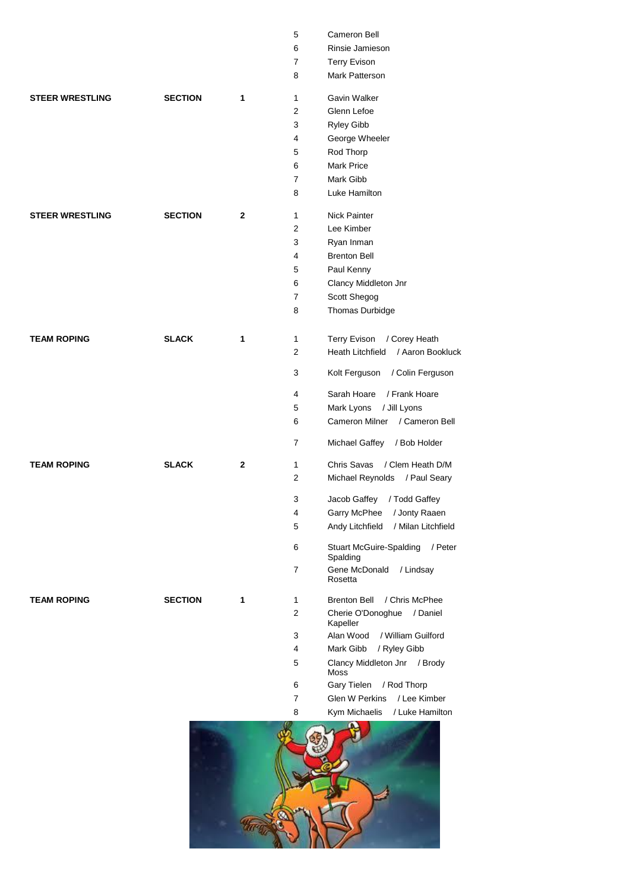|                        |                |              | 5              | Cameron Bell                                          |
|------------------------|----------------|--------------|----------------|-------------------------------------------------------|
|                        |                |              | 6              | Rinsie Jamieson                                       |
|                        |                |              | $\overline{7}$ | <b>Terry Evison</b>                                   |
|                        |                |              | 8              | Mark Patterson                                        |
| <b>STEER WRESTLING</b> | <b>SECTION</b> | 1            | $\mathbf{1}$   | Gavin Walker                                          |
|                        |                |              | 2              | Glenn Lefoe                                           |
|                        |                |              | 3              | Ryley Gibb                                            |
|                        |                |              | 4              | George Wheeler                                        |
|                        |                |              | 5              | Rod Thorp                                             |
|                        |                |              | 6              | Mark Price                                            |
|                        |                |              | $\overline{7}$ | Mark Gibb                                             |
|                        |                |              | 8              | Luke Hamilton                                         |
| <b>STEER WRESTLING</b> | <b>SECTION</b> | $\mathbf{2}$ | $\mathbf{1}$   | <b>Nick Painter</b>                                   |
|                        |                |              | 2              | Lee Kimber                                            |
|                        |                |              | 3              | Ryan Inman                                            |
|                        |                |              | 4              | <b>Brenton Bell</b>                                   |
|                        |                |              | 5              | Paul Kenny                                            |
|                        |                |              | 6              | Clancy Middleton Jnr                                  |
|                        |                |              | 7              | Scott Shegog                                          |
|                        |                |              | 8              | Thomas Durbidge                                       |
| <b>TEAM ROPING</b>     | <b>SLACK</b>   | 1            | 1              | <b>Terry Evison</b><br>/ Corey Heath                  |
|                        |                |              | 2              | Heath Litchfield<br>/ Aaron Bookluck                  |
|                        |                |              | 3              | Kolt Ferguson<br>/ Colin Ferguson                     |
|                        |                |              | 4              | Sarah Hoare<br>/ Frank Hoare                          |
|                        |                |              | 5              | Mark Lyons<br>/ Jill Lyons                            |
|                        |                |              | 6              | Cameron Milner<br>/ Cameron Bell                      |
|                        |                |              | 7              | Michael Gaffey<br>/ Bob Holder                        |
| <b>TEAM ROPING</b>     | <b>SLACK</b>   | $\mathbf{2}$ | 1              | Chris Savas<br>/ Clem Heath D/M                       |
|                        |                |              | 2              | Michael Reynolds<br>/ Paul Seary                      |
|                        |                |              | 3              | Jacob Gaffey<br>/ Todd Gaffey                         |
|                        |                |              | 4              | Garry McPhee<br>/ Jonty Raaen                         |
|                        |                |              | 5              | Andy Litchfield<br>/ Milan Litchfield                 |
|                        |                |              | 6              | <b>Stuart McGuire-Spalding</b><br>/ Peter<br>Spalding |
|                        |                |              | 7              | Gene McDonald<br>/ Lindsay<br>Rosetta                 |
| <b>TEAM ROPING</b>     | <b>SECTION</b> | 1            | 1              | <b>Brenton Bell</b><br>/ Chris McPhee                 |
|                        |                |              | 2              | Cherie O'Donoghue<br>/ Daniel<br>Kapeller             |
|                        |                |              | 3              | Alan Wood<br>/ William Guilford                       |
|                        |                |              | 4              | Mark Gibb<br>/ Ryley Gibb                             |
|                        |                |              | 5              | Clancy Middleton Jnr / Brody<br>Moss                  |
|                        |                |              | 6              | / Rod Thorp<br>Gary Tielen                            |
|                        |                |              | $\overline{7}$ | <b>Glen W Perkins</b><br>/ Lee Kimber                 |
|                        |                |              | 8              | Kym Michaelis<br>/ Luke Hamilton                      |